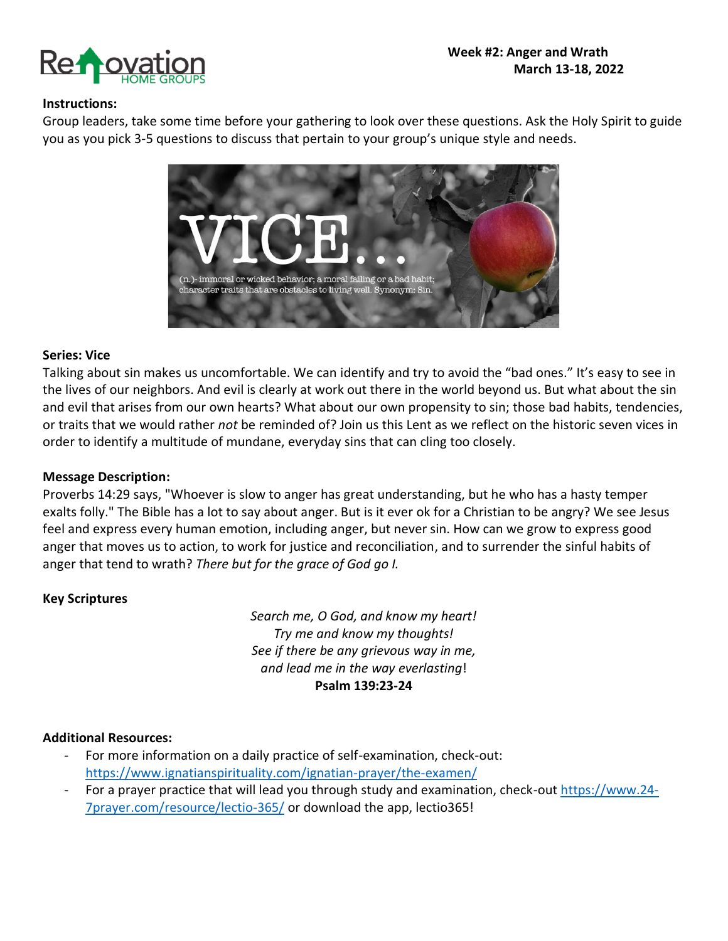

#### **Instructions:**

Group leaders, take some time before your gathering to look over these questions. Ask the Holy Spirit to guide you as you pick 3-5 questions to discuss that pertain to your group's unique style and needs.



#### **Series: Vice**

Talking about sin makes us uncomfortable. We can identify and try to avoid the "bad ones." It's easy to see in the lives of our neighbors. And evil is clearly at work out there in the world beyond us. But what about the sin and evil that arises from our own hearts? What about our own propensity to sin; those bad habits, tendencies, or traits that we would rather *not* be reminded of? Join us this Lent as we reflect on the historic seven vices in order to identify a multitude of mundane, everyday sins that can cling too closely.

#### **Message Description:**

Proverbs 14:29 says, "Whoever is slow to anger has great understanding, but he who has a hasty temper exalts folly." The Bible has a lot to say about anger. But is it ever ok for a Christian to be angry? We see Jesus feel and express every human emotion, including anger, but never sin. How can we grow to express good anger that moves us to action, to work for justice and reconciliation, and to surrender the sinful habits of anger that tend to wrath? *There but for the grace of God go I.*

### **Key Scriptures**

*Search me, O God, and know my heart! Try me and know my thoughts! See if there be any grievous way in me, and lead me in the way everlasting*! **Psalm 139:23-24**

#### **Additional Resources:**

- For more information on a daily practice of self-examination, check-out: <https://www.ignatianspirituality.com/ignatian-prayer/the-examen/>
- For a prayer practice that will lead you through study and examination, check-out [https://www.24-](https://www.24-7prayer.com/resource/lectio-365/) [7prayer.com/resource/lectio-365/](https://www.24-7prayer.com/resource/lectio-365/) or download the app, lectio365!